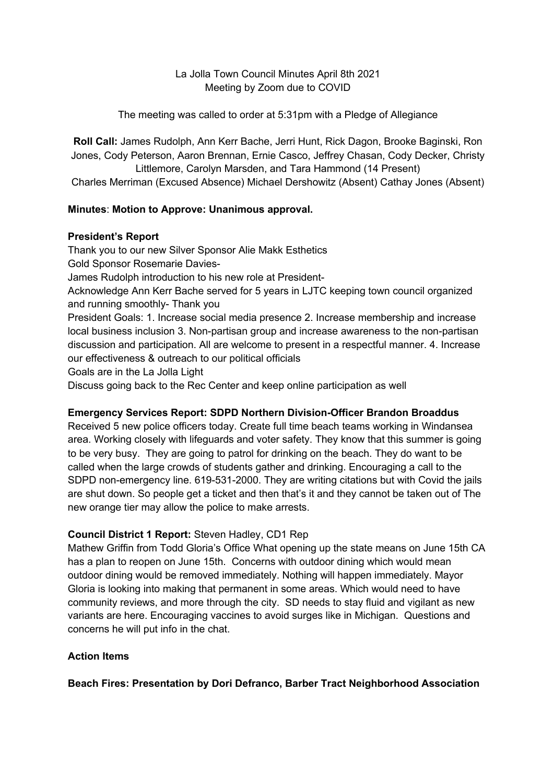## La Jolla Town Council Minutes April 8th 2021 Meeting by Zoom due to COVID

The meeting was called to order at 5:31pm with a Pledge of Allegiance

**Roll Call:** James Rudolph, Ann Kerr Bache, Jerri Hunt, Rick Dagon, Brooke Baginski, Ron Jones, Cody Peterson, Aaron Brennan, Ernie Casco, Jeffrey Chasan, Cody Decker, Christy Littlemore, Carolyn Marsden, and Tara Hammond (14 Present)

Charles Merriman (Excused Absence) Michael Dershowitz (Absent) Cathay Jones (Absent)

## **Minutes**: **Motion to Approve: Unanimous approval.**

### **President's Report**

Thank you to our new Silver Sponsor Alie Makk Esthetics Gold Sponsor Rosemarie Davies-James Rudolph introduction to his new role at President-Acknowledge Ann Kerr Bache served for 5 years in LJTC keeping town council organized and running smoothly- Thank you President Goals: 1. Increase social media presence 2. Increase membership and increase local business inclusion 3. Non-partisan group and increase awareness to the non-partisan discussion and participation. All are welcome to present in a respectful manner. 4. Increase

our effectiveness & outreach to our political officials

Goals are in the La Jolla Light

Discuss going back to the Rec Center and keep online participation as well

### **Emergency Services Report: SDPD Northern Division-Officer Brandon Broaddus**

Received 5 new police officers today. Create full time beach teams working in Windansea area. Working closely with lifeguards and voter safety. They know that this summer is going to be very busy. They are going to patrol for drinking on the beach. They do want to be called when the large crowds of students gather and drinking. Encouraging a call to the SDPD non-emergency line. 619-531-2000. They are writing citations but with Covid the jails are shut down. So people get a ticket and then that's it and they cannot be taken out of The new orange tier may allow the police to make arrests.

## **Council District 1 Report:** Steven Hadley, CD1 Rep

Mathew Griffin from Todd Gloria's Office What opening up the state means on June 15th CA has a plan to reopen on June 15th. Concerns with outdoor dining which would mean outdoor dining would be removed immediately. Nothing will happen immediately. Mayor Gloria is looking into making that permanent in some areas. Which would need to have community reviews, and more through the city. SD needs to stay fluid and vigilant as new variants are here. Encouraging vaccines to avoid surges like in Michigan. Questions and concerns he will put info in the chat.

## **Action Items**

**Beach Fires: Presentation by Dori Defranco, Barber Tract Neighborhood Association**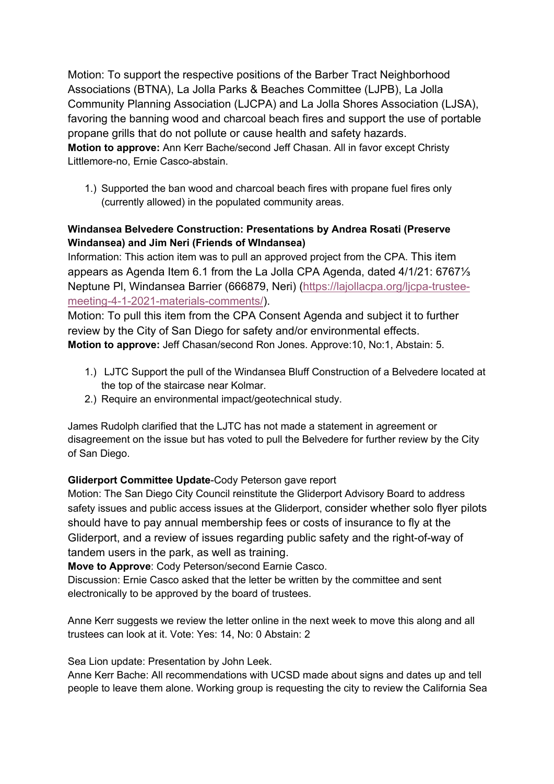Motion: To support the respective positions of the Barber Tract Neighborhood Associations (BTNA), La Jolla Parks & Beaches Committee (LJPB), La Jolla Community Planning Association (LJCPA) and La Jolla Shores Association (LJSA), favoring the banning wood and charcoal beach fires and support the use of portable propane grills that do not pollute or cause health and safety hazards. **Motion to approve:** Ann Kerr Bache/second Jeff Chasan. All in favor except Christy Littlemore-no, Ernie Casco-abstain.

1.) Supported the ban wood and charcoal beach fires with propane fuel fires only (currently allowed) in the populated community areas.

# **Windansea Belvedere Construction: Presentations by Andrea Rosati (Preserve Windansea) and Jim Neri (Friends of WIndansea)**

Information: This action item was to pull an approved project from the CPA. This item appears as Agenda Item 6.1 from the La Jolla CPA Agenda, dated 4/1/21: 6767⅓ Neptune Pl, Windansea Barrier (666879, Neri) (https://lajollacpa.org/ljcpa-trusteemeeting-4-1-2021-materials-comments/).

Motion: To pull this item from the CPA Consent Agenda and subject it to further review by the City of San Diego for safety and/or environmental effects. **Motion to approve:** Jeff Chasan/second Ron Jones. Approve:10, No:1, Abstain: 5.

- 1.) LJTC Support the pull of the Windansea Bluff Construction of a Belvedere located at the top of the staircase near Kolmar.
- 2.) Require an environmental impact/geotechnical study.

James Rudolph clarified that the LJTC has not made a statement in agreement or disagreement on the issue but has voted to pull the Belvedere for further review by the City of San Diego.

# **Gliderport Committee Update**-Cody Peterson gave report

Motion: The San Diego City Council reinstitute the Gliderport Advisory Board to address safety issues and public access issues at the Gliderport, consider whether solo flyer pilots should have to pay annual membership fees or costs of insurance to fly at the Gliderport, and a review of issues regarding public safety and the right-of-way of tandem users in the park, as well as training.

**Move to Approve**: Cody Peterson/second Earnie Casco.

Discussion: Ernie Casco asked that the letter be written by the committee and sent electronically to be approved by the board of trustees.

Anne Kerr suggests we review the letter online in the next week to move this along and all trustees can look at it. Vote: Yes: 14, No: 0 Abstain: 2

Sea Lion update: Presentation by John Leek.

Anne Kerr Bache: All recommendations with UCSD made about signs and dates up and tell people to leave them alone. Working group is requesting the city to review the California Sea